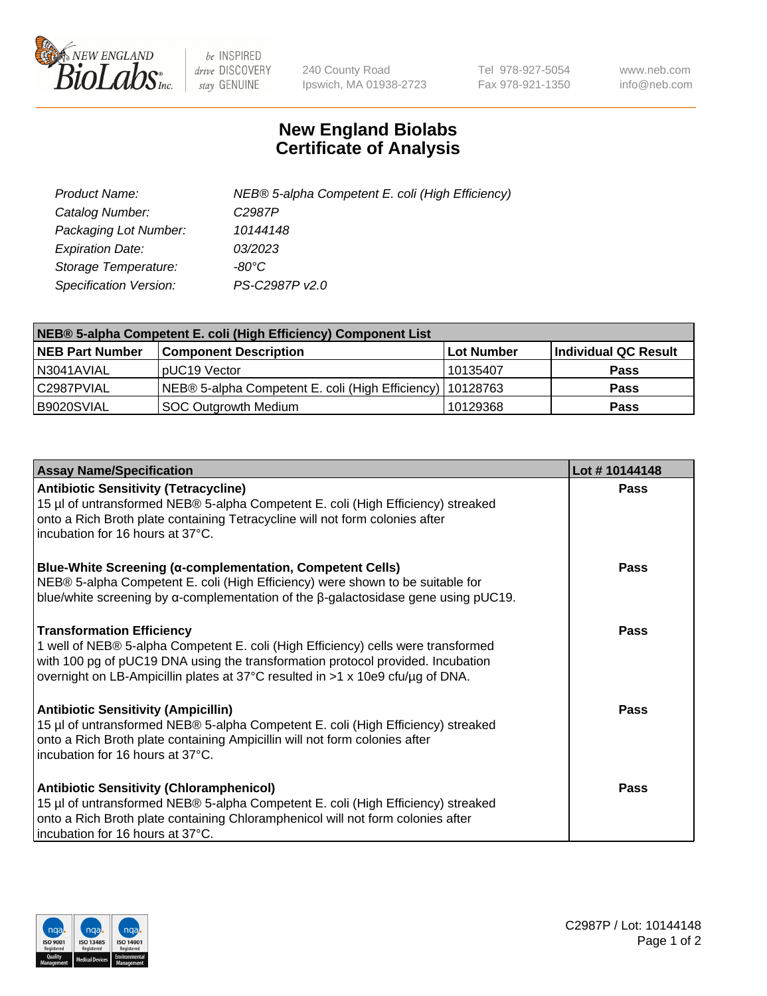

 $be$  INSPIRED drive DISCOVERY stay GENUINE

240 County Road Ipswich, MA 01938-2723 Tel 978-927-5054 Fax 978-921-1350 www.neb.com info@neb.com

## **New England Biolabs Certificate of Analysis**

| Product Name:           | NEB® 5-alpha Competent E. coli (High Efficiency) |
|-------------------------|--------------------------------------------------|
| Catalog Number:         | C <sub>2987</sub> P                              |
| Packaging Lot Number:   | 10144148                                         |
| <b>Expiration Date:</b> | <i>03/2023</i>                                   |
| Storage Temperature:    | -80°C                                            |
| Specification Version:  | PS-C2987P v2.0                                   |

| NEB® 5-alpha Competent E. coli (High Efficiency) Component List |                                                             |            |                      |  |
|-----------------------------------------------------------------|-------------------------------------------------------------|------------|----------------------|--|
| <b>NEB Part Number</b>                                          | <b>Component Description</b>                                | Lot Number | Individual QC Result |  |
| N3041AVIAL                                                      | pUC19 Vector                                                | 10135407   | <b>Pass</b>          |  |
| C2987PVIAL                                                      | NEB® 5-alpha Competent E. coli (High Efficiency)   10128763 |            | <b>Pass</b>          |  |
| B9020SVIAL                                                      | <b>SOC Outgrowth Medium</b>                                 | 10129368   | <b>Pass</b>          |  |

| <b>Assay Name/Specification</b>                                                                                                                                                                                                                                                            | Lot #10144148 |
|--------------------------------------------------------------------------------------------------------------------------------------------------------------------------------------------------------------------------------------------------------------------------------------------|---------------|
| <b>Antibiotic Sensitivity (Tetracycline)</b><br>15 µl of untransformed NEB® 5-alpha Competent E. coli (High Efficiency) streaked<br>onto a Rich Broth plate containing Tetracycline will not form colonies after<br>incubation for 16 hours at 37°C.                                       | Pass          |
| <b>Blue-White Screening (α-complementation, Competent Cells)</b><br>NEB® 5-alpha Competent E. coli (High Efficiency) were shown to be suitable for<br>blue/white screening by $\alpha$ -complementation of the $\beta$ -galactosidase gene using pUC19.                                    | Pass          |
| <b>Transformation Efficiency</b><br>1 well of NEB® 5-alpha Competent E. coli (High Efficiency) cells were transformed<br>with 100 pg of pUC19 DNA using the transformation protocol provided. Incubation<br>overnight on LB-Ampicillin plates at 37°C resulted in >1 x 10e9 cfu/µg of DNA. | Pass          |
| <b>Antibiotic Sensitivity (Ampicillin)</b><br>15 µl of untransformed NEB® 5-alpha Competent E. coli (High Efficiency) streaked<br>onto a Rich Broth plate containing Ampicillin will not form colonies after<br>incubation for 16 hours at 37°C.                                           | Pass          |
| <b>Antibiotic Sensitivity (Chloramphenicol)</b><br>15 µl of untransformed NEB® 5-alpha Competent E. coli (High Efficiency) streaked<br>onto a Rich Broth plate containing Chloramphenicol will not form colonies after<br>incubation for 16 hours at 37°C.                                 | Pass          |